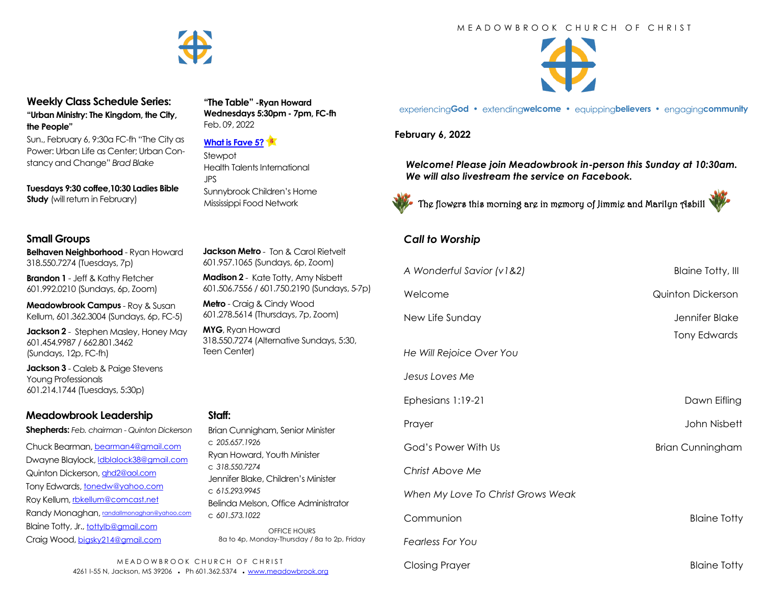#### M E A D O W B R O O K C H U R C H O F C H R I S T



experiencing**God •** extending**welcome •** equipping**believers •** engaging**community**

**February 6, 2022** 

*Welcome! Please join Meadowbrook in-person this Sunday at 10:30am. We will also livestream the service on Facebook.*



The flowers this morning are in memory of Jimmie and Marilyn Asbill

## *Call to Worship*

| 601.957.1065 (Sundays, 6p, Zoom)                                                                                                                                                                                                                                                                                                                             |                                      |                                               |
|--------------------------------------------------------------------------------------------------------------------------------------------------------------------------------------------------------------------------------------------------------------------------------------------------------------------------------------------------------------|--------------------------------------|-----------------------------------------------|
| Madison 2 - Kate Totty, Amy Nisbett<br>601.506.7556 / 601.750.2190 (Sundays, 5-7p)<br>Metro - Craig & Cindy Wood<br>601.278.5614 (Thursdays, 7p, Zoom)<br>MYG, Ryan Howard                                                                                                                                                                                   | A Wonderful Savior (v1&2)<br>Welcome | <b>Blaine Totty, Ill</b><br>Quinton Dickerson |
|                                                                                                                                                                                                                                                                                                                                                              | New Life Sunday                      | Jennifer Blake                                |
| 318.550.7274 (Alternative Sundays, 5:30,<br>Teen Center)<br>Staff:<br>Brian Cunnigham, Senior Minister<br>c 205.657.1926<br>Ryan Howard, Youth Minister<br>c 318,550,7274<br>Jennifer Blake, Children's Minister<br>c 615.293.9945<br>Belinda Melson, Office Administrator<br>c 601.573.1022<br>OFFICE HOURS<br>8a to 4p, Monday-Thursday / 8a to 2p, Friday | He Will Rejoice Over You             | <b>Tony Edwards</b>                           |
|                                                                                                                                                                                                                                                                                                                                                              | Jesus Loves Me                       |                                               |
|                                                                                                                                                                                                                                                                                                                                                              | Ephesians 1:19-21                    | Dawn Eifling                                  |
|                                                                                                                                                                                                                                                                                                                                                              | Prayer                               | John Nisbett                                  |
|                                                                                                                                                                                                                                                                                                                                                              | God's Power With Us                  | <b>Brian Cunningham</b>                       |
|                                                                                                                                                                                                                                                                                                                                                              | Christ Above Me                      |                                               |
|                                                                                                                                                                                                                                                                                                                                                              | When My Love To Christ Grows Weak    |                                               |
|                                                                                                                                                                                                                                                                                                                                                              | Communion                            | <b>Blaine Totty</b>                           |
|                                                                                                                                                                                                                                                                                                                                                              | <b>Fearless For You</b>              |                                               |
| HURCH OF CHRIST<br>01.362.5374 www.meadowbrook.org                                                                                                                                                                                                                                                                                                           | <b>Closing Prayer</b>                | <b>Blaine Totty</b>                           |



Sun., February 6, 9:30a FC-fh "The City as Power: Urban Life as Center; Urban Constancy and Change" *Brad Blake*

**Tuesdays 9:30 coffee,10:30 Ladies Bible Study** (will return in February)

## **Small Groups**

**Belhaven Neighborhood** - Ryan Howard 318.550.7274 (Tuesdays, 7p)

**Brandon 1** - Jeff & Kathy Fletcher 601.992.0210 (Sundays, 6p, Zoom)

**Meadowbrook Campus** - Roy & Susan Kellum, 601.362.3004 (Sundays, 6p, FC-5)

**Jackson 2** - Stephen Masley, Honey May 601.454.9987 / 662.801.3462 (Sundays, 12p, FC-fh)

**Jackson 3** - Caleb & Paige Stevens Young Professionals 601.214.1744 (Tuesdays, 5:30p)

# **Meadowbrook Leadership**

**Shepherds:** *Feb. chairman - Quinton Dickerson*

Chuck Bearman, [bearman4@gmail.com](mailto:bearman4@gmail.com) Dwayne Blaylock, [ldblalock38@gmail.com](mailto:ldblaylock38@gmail.com) Quinton Dickerson, [qhd2@aol.com](mailto:qhd2@aol.com) Tony Edwards, [tonedw@yahoo.com](mailto:tonedw@yahoo.com) Roy Kellum, [rbkellum@comcast.net](mailto:rbkellum@comcast.net) Randy Monaghan, [randallmonaghan@yahoo.com](mailto:randallmonaghan@yahoo.com) Blaine Totty, Jr., [tottylb@gmail.com](mailto:tottylb@gmail.com) Craig Wood, [bigsky214@gmail.com](mailto:bigsky214@gmail.com)

## **Staff:**

M E A D O W B R O O K CHURCH OF 4261 I-55 N, Jackson, MS 39206 • Ph 601.362.5374 •



**"The Table" -Ryan Howard Wednesdays 5:30pm - 7pm, FC-fh**

Health Talents International

Sunnybrook Children's Home Mississippi Food Network

**Jackson Metro** - Ton & Carol Rietvelt

Feb. 09, 2022

**Stewpot** 

JPS

**[What is Fave 5?](https://meadowbrook.ccbchurch.com/group_detail.php?group_id=131)**